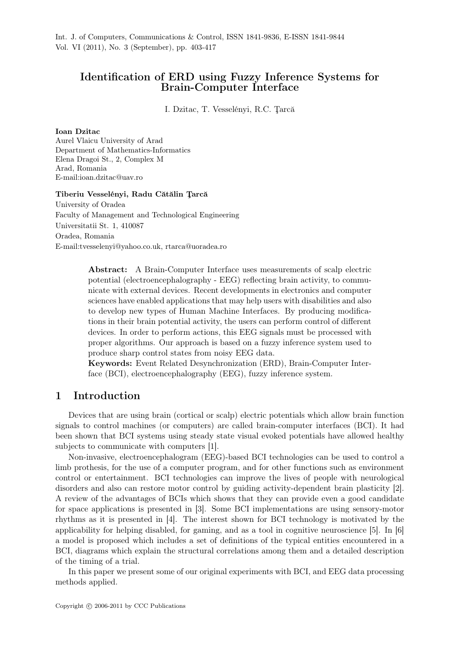# Identification of ERD using Fuzzy Inference Systems for Brain-Computer Interface

I. Dzitac, T. Vesselényi, R.C. Ţarcă

### Ioan Dzitac

Aurel Vlaicu University of Arad Department of Mathematics-Informatics Elena Dragoi St., 2, Complex M Arad, Romania E-mail:ioan.dzitac@uav.ro

### Tiberiu Vesselényi, Radu Cătălin Ţarcă

University of Oradea Faculty of Management and Technological Engineering Universitatii St. 1, 410087 Oradea, Romania E-mail:tvesselenyi@yahoo.co.uk, rtarca@uoradea.ro

> Abstract: A Brain-Computer Interface uses measurements of scalp electric potential (electroencephalography - EEG) reflecting brain activity, to communicate with external devices. Recent developments in electronics and computer sciences have enabled applications that may help users with disabilities and also to develop new types of Human Machine Interfaces. By producing modifications in their brain potential activity, the users can perform control of different devices. In order to perform actions, this EEG signals must be processed with proper algorithms. Our approach is based on a fuzzy inference system used to produce sharp control states from noisy EEG data.

> Keywords: Event Related Desynchronization (ERD), Brain-Computer Interface (BCI), electroencephalography (EEG), fuzzy inference system.

## 1 Introduction

Devices that are using brain (cortical or scalp) electric potentials which allow brain function signals to control machines (or computers) are called brain-computer interfaces (BCI). It had been shown that BCI systems using steady state visual evoked potentials have allowed healthy subjects to communicate with computers [1].

Non-invasive, electroencephalogram (EEG)-based BCI technologies can be used to control a limb prothesis, for the use of a computer program, and for other functions such as environment control or entertainment. BCI technologies can improve the lives of people with neurological disorders and also can restore motor control by guiding activity-dependent brain plasticity [2]. A review of the advantages of BCIs which shows that they can provide even a good candidate for space applications is presented in [3]. Some BCI implementations are using sensory-motor rhythms as it is presented in [4]. The interest shown for BCI technology is motivated by the applicability for helping disabled, for gaming, and as a tool in cognitive neuroscience [5]. In [6] a model is proposed which includes a set of definitions of the typical entities encountered in a BCI, diagrams which explain the structural correlations among them and a detailed description of the timing of a trial.

In this paper we present some of our original experiments with BCI, and EEG data processing methods applied.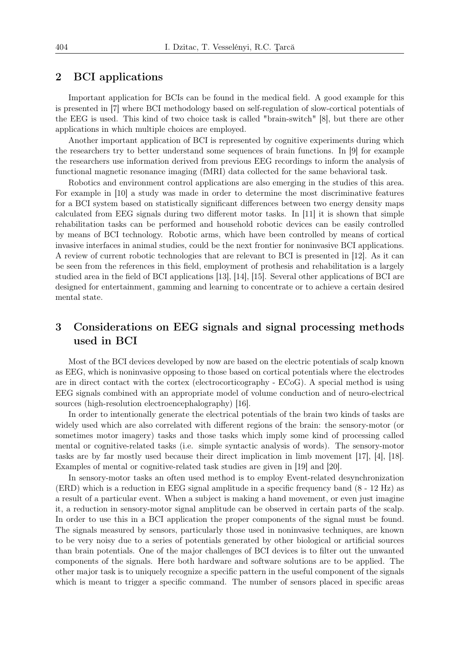## 2 BCI applications

Important application for BCIs can be found in the medical field. A good example for this is presented in [7] where BCI methodology based on self-regulation of slow-cortical potentials of the EEG is used. This kind of two choice task is called "brain-switch" [8], but there are other applications in which multiple choices are employed.

Another important application of BCI is represented by cognitive experiments during which the researchers try to better understand some sequences of brain functions. In [9] for example the researchers use information derived from previous EEG recordings to inform the analysis of functional magnetic resonance imaging (fMRI) data collected for the same behavioral task.

Robotics and environment control applications are also emerging in the studies of this area. For example in [10] a study was made in order to determine the most discriminative features for a BCI system based on statistically significant differences between two energy density maps calculated from EEG signals during two different motor tasks. In [11] it is shown that simple rehabilitation tasks can be performed and household robotic devices can be easily controlled by means of BCI technology. Robotic arms, which have been controlled by means of cortical invasive interfaces in animal studies, could be the next frontier for noninvasive BCI applications. A review of current robotic technologies that are relevant to BCI is presented in [12]. As it can be seen from the references in this field, employment of prothesis and rehabilitation is a largely studied area in the field of BCI applications [13], [14], [15]. Several other applications of BCI are designed for entertainment, gamming and learning to concentrate or to achieve a certain desired mental state.

# 3 Considerations on EEG signals and signal processing methods used in BCI

Most of the BCI devices developed by now are based on the electric potentials of scalp known as EEG, which is noninvasive opposing to those based on cortical potentials where the electrodes are in direct contact with the cortex (electrocorticography - ECoG). A special method is using EEG signals combined with an appropriate model of volume conduction and of neuro-electrical sources (high-resolution electroencephalography) [16].

In order to intentionally generate the electrical potentials of the brain two kinds of tasks are widely used which are also correlated with different regions of the brain: the sensory-motor (or sometimes motor imagery) tasks and those tasks which imply some kind of processing called mental or cognitive-related tasks (i.e. simple syntactic analysis of words). The sensory-motor tasks are by far mostly used because their direct implication in limb movement [17], [4], [18]. Examples of mental or cognitive-related task studies are given in [19] and [20].

In sensory-motor tasks an often used method is to employ Event-related desynchronization (ERD) which is a reduction in EEG signal amplitude in a specific frequency band (8 - 12 Hz) as a result of a particular event. When a subject is making a hand movement, or even just imagine it, a reduction in sensory-motor signal amplitude can be observed in certain parts of the scalp. In order to use this in a BCI application the proper components of the signal must be found. The signals measured by sensors, particularly those used in noninvasive techniques, are known to be very noisy due to a series of potentials generated by other biological or artificial sources than brain potentials. One of the major challenges of BCI devices is to filter out the unwanted components of the signals. Here both hardware and software solutions are to be applied. The other major task is to uniquely recognize a specific pattern in the useful component of the signals which is meant to trigger a specific command. The number of sensors placed in specific areas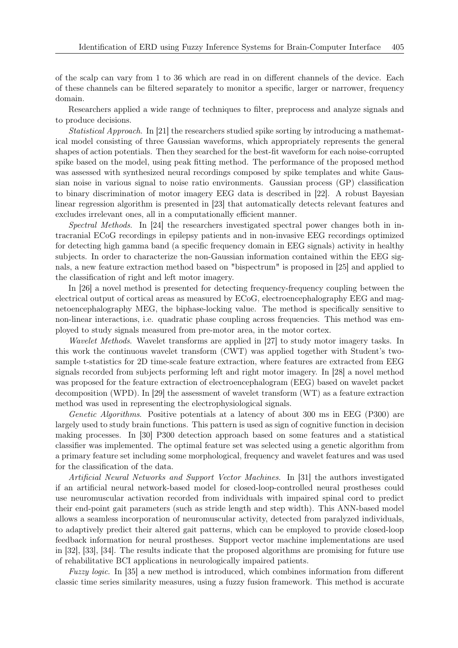of the scalp can vary from 1 to 36 which are read in on different channels of the device. Each of these channels can be filtered separately to monitor a specific, larger or narrower, frequency domain.

Researchers applied a wide range of techniques to filter, preprocess and analyze signals and to produce decisions.

*Statistical Approach*. In [21] the researchers studied spike sorting by introducing a mathematical model consisting of three Gaussian waveforms, which appropriately represents the general shapes of action potentials. Then they searched for the best-fit waveform for each noise-corrupted spike based on the model, using peak fitting method. The performance of the proposed method was assessed with synthesized neural recordings composed by spike templates and white Gaussian noise in various signal to noise ratio environments. Gaussian process (GP) classification to binary discrimination of motor imagery EEG data is described in [22]. A robust Bayesian linear regression algorithm is presented in [23] that automatically detects relevant features and excludes irrelevant ones, all in a computationally efficient manner.

*Spectral Methods*. In [24] the researchers investigated spectral power changes both in intracranial ECoG recordings in epilepsy patients and in non-invasive EEG recordings optimized for detecting high gamma band (a specific frequency domain in EEG signals) activity in healthy subjects. In order to characterize the non-Gaussian information contained within the EEG signals, a new feature extraction method based on "bispectrum" is proposed in [25] and applied to the classification of right and left motor imagery.

In [26] a novel method is presented for detecting frequency-frequency coupling between the electrical output of cortical areas as measured by ECoG, electroencephalography EEG and magnetoencephalography MEG, the biphase-locking value. The method is specifically sensitive to non-linear interactions, i.e. quadratic phase coupling across frequencies. This method was employed to study signals measured from pre-motor area, in the motor cortex.

*Wavelet Methods*. Wavelet transforms are applied in [27] to study motor imagery tasks. In this work the continuous wavelet transform (CWT) was applied together with Student's twosample t-statistics for 2D time-scale feature extraction, where features are extracted from EEG signals recorded from subjects performing left and right motor imagery. In [28] a novel method was proposed for the feature extraction of electroencephalogram (EEG) based on wavelet packet decomposition (WPD). In [29] the assessment of wavelet transform (WT) as a feature extraction method was used in representing the electrophysiological signals.

*Genetic Algorithms*. Positive potentials at a latency of about 300 ms in EEG (P300) are largely used to study brain functions. This pattern is used as sign of cognitive function in decision making processes. In [30] P300 detection approach based on some features and a statistical classifier was implemented. The optimal feature set was selected using a genetic algorithm from a primary feature set including some morphological, frequency and wavelet features and was used for the classification of the data.

*Artificial Neural Networks and Support Vector Machines*. In [31] the authors investigated if an artificial neural network-based model for closed-loop-controlled neural prostheses could use neuromuscular activation recorded from individuals with impaired spinal cord to predict their end-point gait parameters (such as stride length and step width). This ANN-based model allows a seamless incorporation of neuromuscular activity, detected from paralyzed individuals, to adaptively predict their altered gait patterns, which can be employed to provide closed-loop feedback information for neural prostheses. Support vector machine implementations are used in [32], [33], [34]. The results indicate that the proposed algorithms are promising for future use of rehabilitative BCI applications in neurologically impaired patients.

*Fuzzy logic*. In [35] a new method is introduced, which combines information from different classic time series similarity measures, using a fuzzy fusion framework. This method is accurate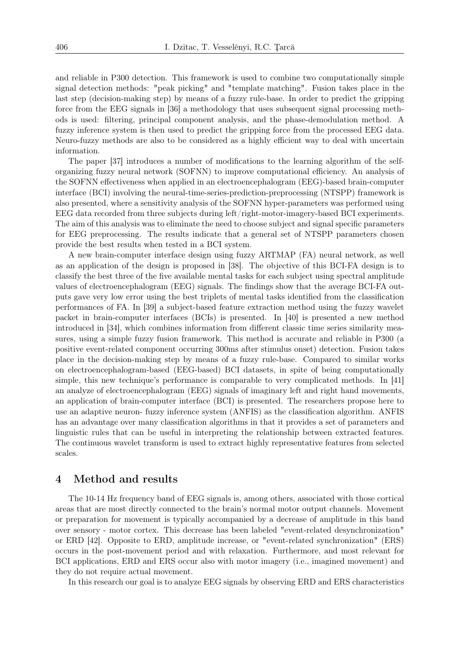and reliable in P300 detection. This framework is used to combine two computationally simple signal detection methods: "peak picking" and "template matching". Fusion takes place in the last step (decision-making step) by means of a fuzzy rule-base. In order to predict the gripping force from the EEG signals in [36] a methodology that uses subsequent signal processing methods is used: filtering, principal component analysis, and the phase-demodulation method. A fuzzy inference system is then used to predict the gripping force from the processed EEG data. Neuro-fuzzy methods are also to be considered as a highly efficient way to deal with uncertain information.

The paper [37] introduces a number of modifications to the learning algorithm of the selforganizing fuzzy neural network (SOFNN) to improve computational efficiency. An analysis of the SOFNN effectiveness when applied in an electroencephalogram (EEG)-based brain-computer interface (BCI) involving the neural-time-series-prediction-preprocessing (NTSPP) framework is also presented, where a sensitivity analysis of the SOFNN hyper-parameters was performed using EEG data recorded from three subjects during left/right-motor-imagery-based BCI experiments. The aim of this analysis was to eliminate the need to choose subject and signal specific parameters for EEG preprocessing. The results indicate that a general set of NTSPP parameters chosen provide the best results when tested in a BCI system.

A new brain-computer interface design using fuzzy ARTMAP (FA) neural network, as well as an application of the design is proposed in [38]. The objective of this BCI-FA design is to classify the best three of the five available mental tasks for each subject using spectral amplitude values of electroencephalogram (EEG) signals. The findings show that the average BCI-FA outputs gave very low error using the best triplets of mental tasks identified from the classification performances of FA. In [39] a subject-based feature extraction method using the fuzzy wavelet packet in brain-computer interfaces (BCIs) is presented. In [40] is presented a new method introduced in [34], which combines information from different classic time series similarity measures, using a simple fuzzy fusion framework. This method is accurate and reliable in P300 (a positive event-related component occurring 300ms after stimulus onset) detection. Fusion takes place in the decision-making step by means of a fuzzy rule-base. Compared to similar works on electroencephalogram-based (EEG-based) BCI datasets, in spite of being computationally simple, this new technique's performance is comparable to very complicated methods. In [41] an analyze of electroencephalogram (EEG) signals of imaginary left and right hand movements, an application of brain-computer interface (BCI) is presented. The researchers propose here to use an adaptive neuron- fuzzy inference system (ANFIS) as the classification algorithm. ANFIS has an advantage over many classification algorithms in that it provides a set of parameters and linguistic rules that can be useful in interpreting the relationship between extracted features. The continuous wavelet transform is used to extract highly representative features from selected scales.

## 4 Method and results

The 10-14 Hz frequency band of EEG signals is, among others, associated with those cortical areas that are most directly connected to the brain's normal motor output channels. Movement or preparation for movement is typically accompanied by a decrease of amplitude in this band over sensory - motor cortex. This decrease has been labeled "event-related desynchronization" or ERD [42]. Opposite to ERD, amplitude increase, or "event-related synchronization" (ERS) occurs in the post-movement period and with relaxation. Furthermore, and most relevant for BCI applications, ERD and ERS occur also with motor imagery (i.e., imagined movement) and they do not require actual movement.

In this research our goal is to analyze EEG signals by observing ERD and ERS characteristics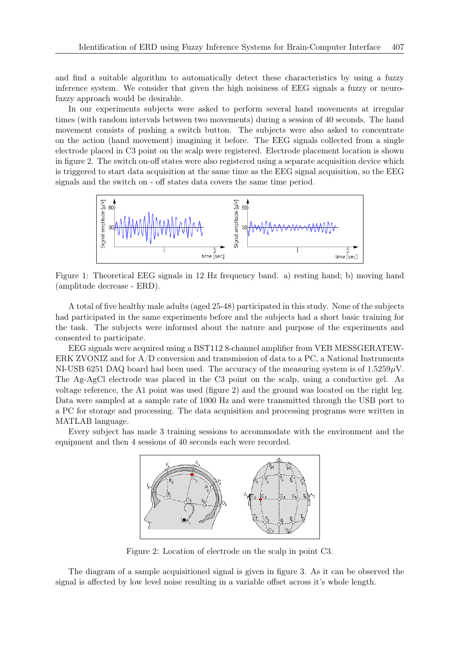and find a suitable algorithm to automatically detect these characteristics by using a fuzzy inference system. We consider that given the high noisiness of EEG signals a fuzzy or neurofuzzy approach would be desirable.

In our experiments subjects were asked to perform several hand movements at irregular times (with random intervals between two movements) during a session of 40 seconds. The hand movement consists of pushing a switch button. The subjects were also asked to concentrate on the action (hand movement) imagining it before. The EEG signals collected from a single electrode placed in C3 point on the scalp were registered. Electrode placement location is shown in figure 2. The switch on-off states were also registered using a separate acquisition device which is triggered to start data acquisition at the same time as the EEG signal acquisition, so the EEG signals and the switch on - off states data covers the same time period.



Figure 1: Theoretical EEG signals in 12 Hz frequency band. a) resting hand; b) moving hand (amplitude decrease - ERD).

A total of five healthy male adults (aged 25-48) participated in this study. None of the subjects had participated in the same experiments before and the subjects had a short basic training for the task. The subjects were informed about the nature and purpose of the experiments and consented to participate.

EEG signals were acquired using a BST112 8-channel amplifier from VEB MESSGERATEW-ERK ZVONIZ and for A/D conversion and transmission of data to a PC, a National Instruments NI-USB 6251 DAQ board had been used. The accuracy of the measuring system is of 1.5259*µ*V. The Ag-AgCl electrode was placed in the C3 point on the scalp, using a conductive gel. As voltage reference, the A1 point was used (figure 2) and the ground was located on the right leg. Data were sampled at a sample rate of 1000 Hz and were transmitted through the USB port to a PC for storage and processing. The data acquisition and processing programs were written in MATLAB language.

Every subject has made 3 training sessions to accommodate with the environment and the equipment and then 4 sessions of 40 seconds each were recorded.



Figure 2: Location of electrode on the scalp in point C3.

The diagram of a sample acquisitioned signal is given in figure 3. As it can be observed the signal is affected by low level noise resulting in a variable offset across it's whole length.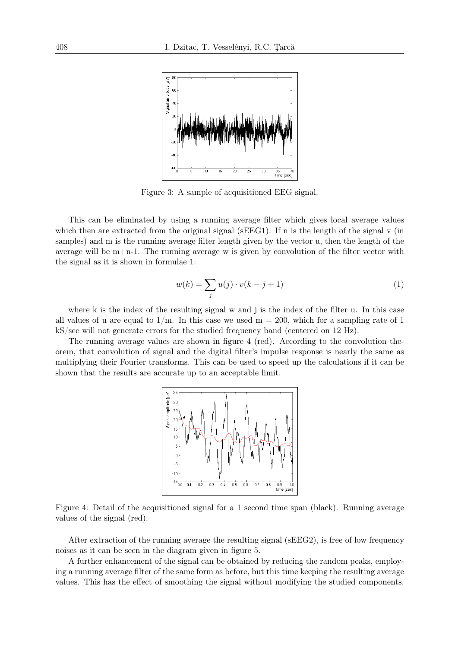

Figure 3: A sample of acquisitioned EEG signal.

This can be eliminated by using a running average filter which gives local average values which then are extracted from the original signal (sEEG1). If n is the length of the signal v (in samples) and m is the running average filter length given by the vector u, then the length of the average will be  $m+n-1$ . The running average w is given by convolution of the filter vector with the signal as it is shown in formulae 1:

$$
w(k) = \sum_{j} u(j) \cdot v(k - j + 1)
$$
\n(1)

where k is the index of the resulting signal w and j is the index of the filter u. In this case all values of u are equal to  $1/m$ . In this case we used  $m = 200$ , which for a sampling rate of 1 kS/sec will not generate errors for the studied frequency band (centered on 12 Hz).

The running average values are shown in figure 4 (red). According to the convolution theorem, that convolution of signal and the digital filter's impulse response is nearly the same as multiplying their Fourier transforms. This can be used to speed up the calculations if it can be shown that the results are accurate up to an acceptable limit.



Figure 4: Detail of the acquisitioned signal for a 1 second time span (black). Running average values of the signal (red).

After extraction of the running average the resulting signal (sEEG2), is free of low frequency noises as it can be seen in the diagram given in figure 5.

A further enhancement of the signal can be obtained by reducing the random peaks, employing a running average filter of the same form as before, but this time keeping the resulting average values. This has the effect of smoothing the signal without modifying the studied components.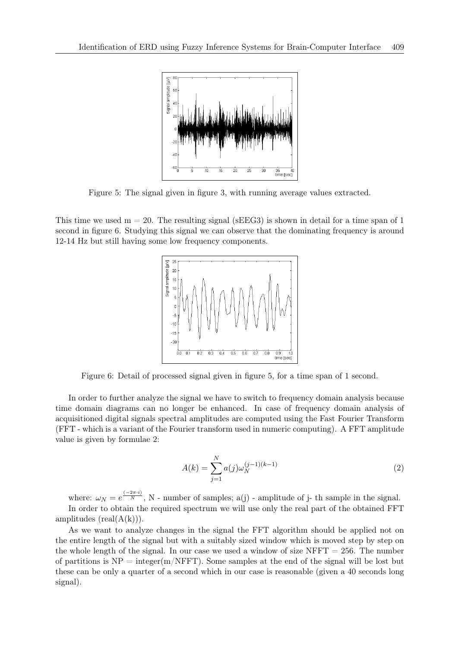

Figure 5: The signal given in figure 3, with running average values extracted.

This time we used  $m = 20$ . The resulting signal (sEEG3) is shown in detail for a time span of 1 second in figure 6. Studying this signal we can observe that the dominating frequency is around 12-14 Hz but still having some low frequency components.



Figure 6: Detail of processed signal given in figure 5, for a time span of 1 second.

In order to further analyze the signal we have to switch to frequency domain analysis because time domain diagrams can no longer be enhanced. In case of frequency domain analysis of acquisitioned digital signals spectral amplitudes are computed using the Fast Fourier Transform (FFT - which is a variant of the Fourier transform used in numeric computing). A FFT amplitude value is given by formulae 2:

$$
A(k) = \sum_{j=1}^{N} a(j)\omega_N^{(j-1)(k-1)}
$$
\n(2)

where:  $\omega_N = e^{\frac{(-2\pi \cdot i)}{N}}$ , N - number of samples; a(j) - amplitude of j- th sample in the signal.

In order to obtain the required spectrum we will use only the real part of the obtained FFT amplitudes  $(\text{real}(A(k)))$ .

As we want to analyze changes in the signal the FFT algorithm should be applied not on the entire length of the signal but with a suitably sized window which is moved step by step on the whole length of the signal. In our case we used a window of size  $NFFT = 256$ . The number of partitions is  $NP = integer(m/NFFT)$ . Some samples at the end of the signal will be lost but these can be only a quarter of a second which in our case is reasonable (given a 40 seconds long signal).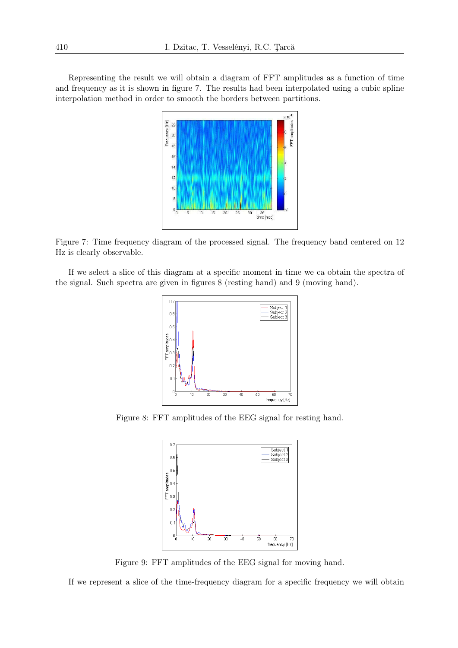Representing the result we will obtain a diagram of FFT amplitudes as a function of time and frequency as it is shown in figure 7. The results had been interpolated using a cubic spline interpolation method in order to smooth the borders between partitions.



Figure 7: Time frequency diagram of the processed signal. The frequency band centered on 12 Hz is clearly observable.

If we select a slice of this diagram at a specific moment in time we ca obtain the spectra of the signal. Such spectra are given in figures 8 (resting hand) and 9 (moving hand).



Figure 8: FFT amplitudes of the EEG signal for resting hand.



Figure 9: FFT amplitudes of the EEG signal for moving hand.

If we represent a slice of the time-frequency diagram for a specific frequency we will obtain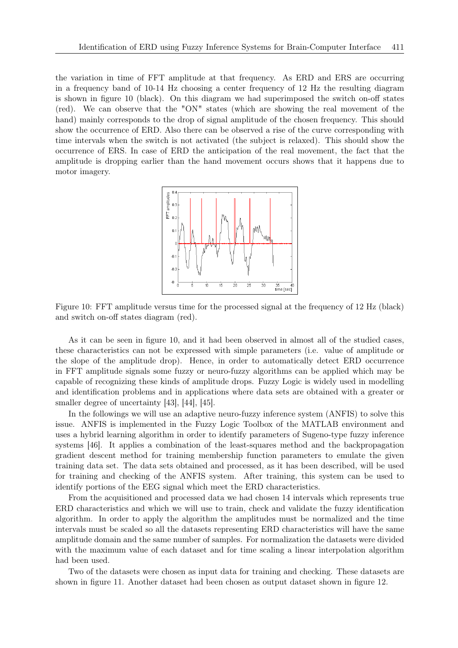the variation in time of FFT amplitude at that frequency. As ERD and ERS are occurring in a frequency band of 10-14 Hz choosing a center frequency of 12 Hz the resulting diagram is shown in figure 10 (black). On this diagram we had superimposed the switch on-off states (red). We can observe that the "ON" states (which are showing the real movement of the hand) mainly corresponds to the drop of signal amplitude of the chosen frequency. This should show the occurrence of ERD. Also there can be observed a rise of the curve corresponding with time intervals when the switch is not activated (the subject is relaxed). This should show the occurrence of ERS. In case of ERD the anticipation of the real movement, the fact that the amplitude is dropping earlier than the hand movement occurs shows that it happens due to motor imagery.



Figure 10: FFT amplitude versus time for the processed signal at the frequency of 12 Hz (black) and switch on-off states diagram (red).

As it can be seen in figure 10, and it had been observed in almost all of the studied cases, these characteristics can not be expressed with simple parameters (i.e. value of amplitude or the slope of the amplitude drop). Hence, in order to automatically detect ERD occurrence in FFT amplitude signals some fuzzy or neuro-fuzzy algorithms can be applied which may be capable of recognizing these kinds of amplitude drops. Fuzzy Logic is widely used in modelling and identification problems and in applications where data sets are obtained with a greater or smaller degree of uncertainty [43], [44], [45].

In the followings we will use an adaptive neuro-fuzzy inference system (ANFIS) to solve this issue. ANFIS is implemented in the Fuzzy Logic Toolbox of the MATLAB environment and uses a hybrid learning algorithm in order to identify parameters of Sugeno-type fuzzy inference systems [46]. It applies a combination of the least-squares method and the backpropagation gradient descent method for training membership function parameters to emulate the given training data set. The data sets obtained and processed, as it has been described, will be used for training and checking of the ANFIS system. After training, this system can be used to identify portions of the EEG signal which meet the ERD characteristics.

From the acquisitioned and processed data we had chosen 14 intervals which represents true ERD characteristics and which we will use to train, check and validate the fuzzy identification algorithm. In order to apply the algorithm the amplitudes must be normalized and the time intervals must be scaled so all the datasets representing ERD characteristics will have the same amplitude domain and the same number of samples. For normalization the datasets were divided with the maximum value of each dataset and for time scaling a linear interpolation algorithm had been used.

Two of the datasets were chosen as input data for training and checking. These datasets are shown in figure 11. Another dataset had been chosen as output dataset shown in figure 12.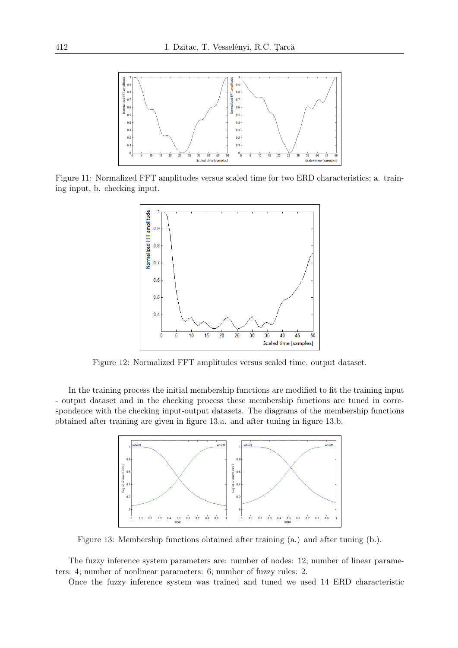

Figure 11: Normalized FFT amplitudes versus scaled time for two ERD characteristics; a. training input, b. checking input.



Figure 12: Normalized FFT amplitudes versus scaled time, output dataset.

In the training process the initial membership functions are modified to fit the training input - output dataset and in the checking process these membership functions are tuned in correspondence with the checking input-output datasets. The diagrams of the membership functions obtained after training are given in figure 13.a. and after tuning in figure 13.b.



Figure 13: Membership functions obtained after training (a.) and after tuning (b.).

The fuzzy inference system parameters are: number of nodes: 12; number of linear parameters: 4; number of nonlinear parameters: 6; number of fuzzy rules: 2.

Once the fuzzy inference system was trained and tuned we used 14 ERD characteristic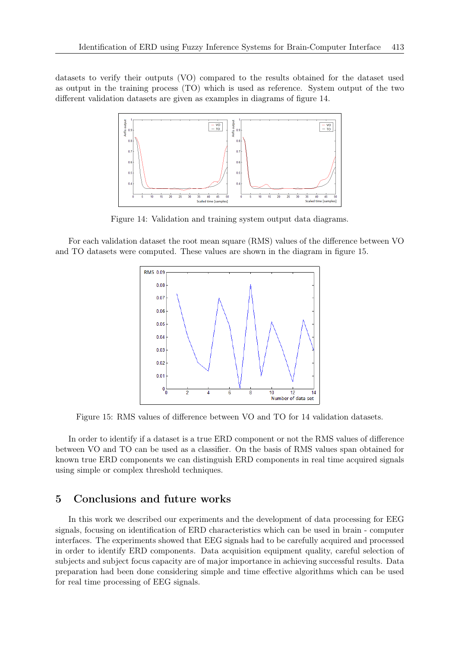datasets to verify their outputs (VO) compared to the results obtained for the dataset used as output in the training process (TO) which is used as reference. System output of the two different validation datasets are given as examples in diagrams of figure 14.



Figure 14: Validation and training system output data diagrams.

For each validation dataset the root mean square (RMS) values of the difference between VO and TO datasets were computed. These values are shown in the diagram in figure 15.



Figure 15: RMS values of difference between VO and TO for 14 validation datasets.

In order to identify if a dataset is a true ERD component or not the RMS values of difference between VO and TO can be used as a classifier. On the basis of RMS values span obtained for known true ERD components we can distinguish ERD components in real time acquired signals using simple or complex threshold techniques.

### 5 Conclusions and future works

In this work we described our experiments and the development of data processing for EEG signals, focusing on identification of ERD characteristics which can be used in brain - computer interfaces. The experiments showed that EEG signals had to be carefully acquired and processed in order to identify ERD components. Data acquisition equipment quality, careful selection of subjects and subject focus capacity are of major importance in achieving successful results. Data preparation had been done considering simple and time effective algorithms which can be used for real time processing of EEG signals.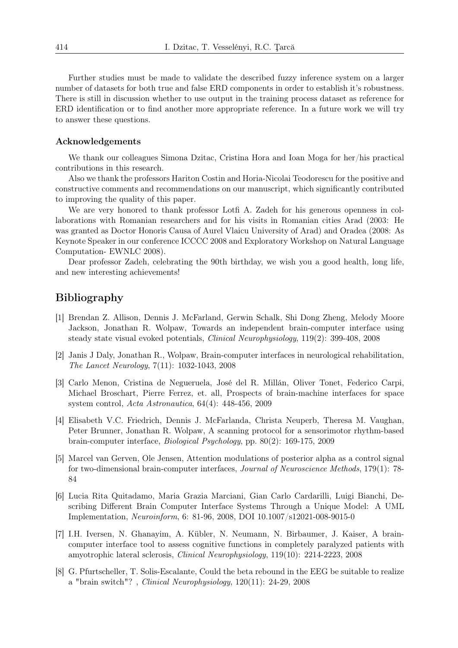Further studies must be made to validate the described fuzzy inference system on a larger number of datasets for both true and false ERD components in order to establish it's robustness. There is still in discussion whether to use output in the training process dataset as reference for ERD identification or to find another more appropriate reference. In a future work we will try to answer these questions.

### Acknowledgements

We thank our colleagues Simona Dzitac, Cristina Hora and Ioan Moga for her/his practical contributions in this research.

Also we thank the professors Hariton Costin and Horia-Nicolai Teodorescu for the positive and constructive comments and recommendations on our manuscript, which significantly contributed to improving the quality of this paper.

We are very honored to thank professor Lotfi A. Zadeh for his generous openness in collaborations with Romanian researchers and for his visits in Romanian cities Arad (2003: He was granted as Doctor Honoris Causa of Aurel Vlaicu University of Arad) and Oradea (2008: As Keynote Speaker in our conference ICCCC 2008 and Exploratory Workshop on Natural Language Computation- EWNLC 2008).

Dear professor Zadeh, celebrating the 90th birthday, we wish you a good health, long life, and new interesting achievements!

# Bibliography

- [1] Brendan Z. Allison, Dennis J. McFarland, Gerwin Schalk, Shi Dong Zheng, Melody Moore Jackson, Jonathan R. Wolpaw, Towards an independent brain-computer interface using steady state visual evoked potentials, *Clinical Neurophysiology*, 119(2): 399-408, 2008
- [2] Janis J Daly, Jonathan R., Wolpaw, Brain-computer interfaces in neurological rehabilitation, *The Lancet Neurology*, 7(11): 1032-1043, 2008
- [3] Carlo Menon, Cristina de Negueruela, José del R. Millán, Oliver Tonet, Federico Carpi, Michael Broschart, Pierre Ferrez, et. all, Prospects of brain-machine interfaces for space system control, *Acta Astronautica*, 64(4): 448-456, 2009
- [4] Elisabeth V.C. Friedrich, Dennis J. McFarlanda, Christa Neuperb, Theresa M. Vaughan, Peter Brunner, Jonathan R. Wolpaw, A scanning protocol for a sensorimotor rhythm-based brain-computer interface, *Biological Psychology*, pp. 80(2): 169-175, 2009
- [5] Marcel van Gerven, Ole Jensen, Attention modulations of posterior alpha as a control signal for two-dimensional brain-computer interfaces, *Journal of Neuroscience Methods*, 179(1): 78- 84
- [6] Lucia Rita Quitadamo, Maria Grazia Marciani, Gian Carlo Cardarilli, Luigi Bianchi, Describing Different Brain Computer Interface Systems Through a Unique Model: A UML Implementation, *Neuroinform*, 6: 81-96, 2008, DOI 10.1007/s12021-008-9015-0
- [7] I.H. Iversen, N. Ghanayim, A. Kübler, N. Neumann, N. Birbaumer, J. Kaiser, A braincomputer interface tool to assess cognitive functions in completely paralyzed patients with amyotrophic lateral sclerosis, *Clinical Neurophysiology*, 119(10): 2214-2223, 2008
- [8] G. Pfurtscheller, T. Solis-Escalante, Could the beta rebound in the EEG be suitable to realize a "brain switch"? , *Clinical Neurophysiology*, 120(11): 24-29, 2008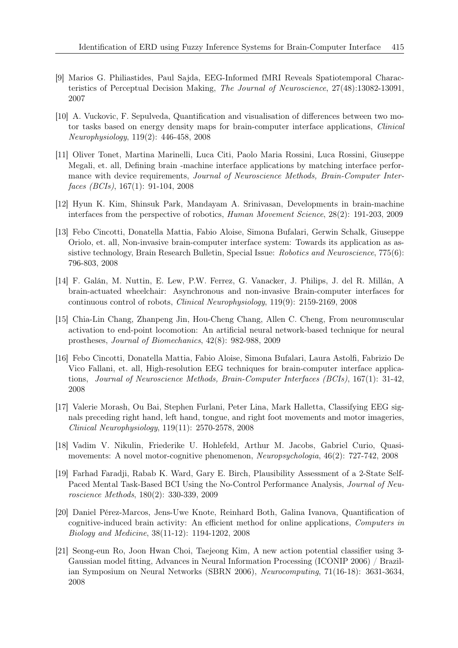- [9] Marios G. Philiastides, Paul Sajda, EEG-Informed fMRI Reveals Spatiotemporal Characteristics of Perceptual Decision Making, *The Journal of Neuroscience*, 27(48):13082-13091, 2007
- [10] A. Vuckovic, F. Sepulveda, Quantification and visualisation of differences between two motor tasks based on energy density maps for brain-computer interface applications, *Clinical Neurophysiology*, 119(2): 446-458, 2008
- [11] Oliver Tonet, Martina Marinelli, Luca Citi, Paolo Maria Rossini, Luca Rossini, Giuseppe Megali, et. all, Defining brain -machine interface applications by matching interface performance with device requirements, *Journal of Neuroscience Methods, Brain-Computer Interfaces (BCIs)*, 167(1): 91-104, 2008
- [12] Hyun K. Kim, Shinsuk Park, Mandayam A. Srinivasan, Developments in brain-machine interfaces from the perspective of robotics, *Human Movement Science*, 28(2): 191-203, 2009
- [13] Febo Cincotti, Donatella Mattia, Fabio Aloise, Simona Bufalari, Gerwin Schalk, Giuseppe Oriolo, et. all, Non-invasive brain-computer interface system: Towards its application as assistive technology, Brain Research Bulletin, Special Issue: *Robotics and Neuroscience*, 775(6): 796-803, 2008
- [14] F. Galán, M. Nuttin, E. Lew, P.W. Ferrez, G. Vanacker, J. Philips, J. del R. Millán, A brain-actuated wheelchair: Asynchronous and non-invasive Brain-computer interfaces for continuous control of robots, *Clinical Neurophysiology*, 119(9): 2159-2169, 2008
- [15] Chia-Lin Chang, Zhanpeng Jin, Hou-Cheng Chang, Allen C. Cheng, From neuromuscular activation to end-point locomotion: An artificial neural network-based technique for neural prostheses, *Journal of Biomechanics*, 42(8): 982-988, 2009
- [16] Febo Cincotti, Donatella Mattia, Fabio Aloise, Simona Bufalari, Laura Astolfi, Fabrizio De Vico Fallani, et. all, High-resolution EEG techniques for brain-computer interface applications, *Journal of Neuroscience Methods, Brain-Computer Interfaces (BCIs)*, 167(1): 31-42, 2008
- [17] Valerie Morash, Ou Bai, Stephen Furlani, Peter Lina, Mark Halletta, Classifying EEG signals preceding right hand, left hand, tongue, and right foot movements and motor imageries, *Clinical Neurophysiology*, 119(11): 2570-2578, 2008
- [18] Vadim V. Nikulin, Friederike U. Hohlefeld, Arthur M. Jacobs, Gabriel Curio, Quasimovements: A novel motor-cognitive phenomenon, *Neuropsychologia*, 46(2): 727-742, 2008
- [19] Farhad Faradji, Rabab K. Ward, Gary E. Birch, Plausibility Assessment of a 2-State Self-Paced Mental Task-Based BCI Using the No-Control Performance Analysis, *Journal of Neuroscience Methods*, 180(2): 330-339, 2009
- [20] Daniel Pérez-Marcos, Jens-Uwe Knote, Reinhard Both, Galina Ivanova, Quantification of cognitive-induced brain activity: An efficient method for online applications, *Computers in Biology and Medicine*, 38(11-12): 1194-1202, 2008
- [21] Seong-eun Ro, Joon Hwan Choi, Taejeong Kim, A new action potential classifier using 3- Gaussian model fitting, Advances in Neural Information Processing (ICONIP 2006) / Brazilian Symposium on Neural Networks (SBRN 2006), *Neurocomputing*, 71(16-18): 3631-3634, 2008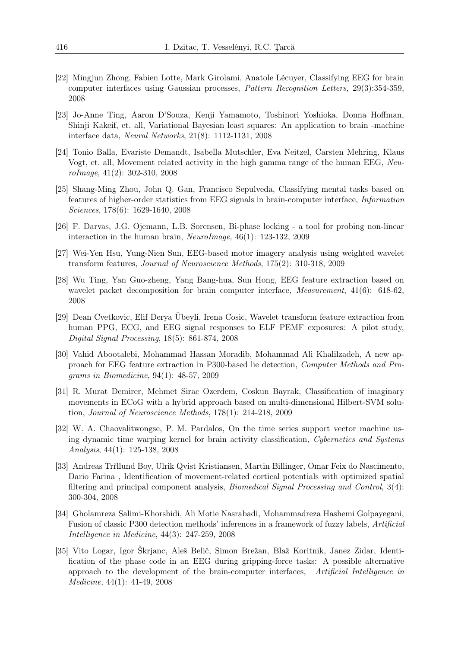- [22] Mingjun Zhong, Fabien Lotte, Mark Girolami, Anatole Lécuyer, Classifying EEG for brain computer interfaces using Gaussian processes, *Pattern Recognition Letters*, 29(3):354-359, 2008
- [23] Jo-Anne Ting, Aaron D'Souza, Kenji Yamamoto, Toshinori Yoshioka, Donna Hoffman, Shinji Kakeif, et. all, Variational Bayesian least squares: An application to brain -machine interface data, *Neural Networks*, 21(8): 1112-1131, 2008
- [24] Tonio Balla, Evariste Demandt, Isabella Mutschler, Eva Neitzel, Carsten Mehring, Klaus Vogt, et. all, Movement related activity in the high gamma range of the human EEG, *NeuroImage*, 41(2): 302-310, 2008
- [25] Shang-Ming Zhou, John Q. Gan, Francisco Sepulveda, Classifying mental tasks based on features of higher-order statistics from EEG signals in brain-computer interface, *Information Sciences*, 178(6): 1629-1640, 2008
- [26] F. Darvas, J.G. Ojemann, L.B. Sorensen, Bi-phase locking a tool for probing non-linear interaction in the human brain, *NeuroImage*, 46(1): 123-132, 2009
- [27] Wei-Yen Hsu, Yung-Nien Sun, EEG-based motor imagery analysis using weighted wavelet transform features, *Journal of Neuroscience Methods*, 175(2): 310-318, 2009
- [28] Wu Ting, Yan Guo-zheng, Yang Bang-hua, Sun Hong, EEG feature extraction based on wavelet packet decomposition for brain computer interface, *Measurement*, 41(6): 618-62, 2008
- [29] Dean Cvetkovic, Elif Derya Übeyli, Irena Cosic, Wavelet transform feature extraction from human PPG, ECG, and EEG signal responses to ELF PEMF exposures: A pilot study, *Digital Signal Processing*, 18(5): 861-874, 2008
- [30] Vahid Abootalebi, Mohammad Hassan Moradib, Mohammad Ali Khalilzadeh, A new approach for EEG feature extraction in P300-based lie detection, *Computer Methods and Programs in Biomedicine*, 94(1): 48-57, 2009
- [31] R. Murat Demirer, Mehmet Sirac Ozerdem, Coskun Bayrak, Classification of imaginary movements in ECoG with a hybrid approach based on multi-dimensional Hilbert-SVM solution, *Journal of Neuroscience Methods*, 178(1): 214-218, 2009
- [32] W. A. Chaovalitwongse, P. M. Pardalos, On the time series support vector machine using dynamic time warping kernel for brain activity classification, *Cybernetics and Systems Analysis*, 44(1): 125-138, 2008
- [33] Andreas Trřllund Boy, Ulrik Qvist Kristiansen, Martin Billinger, Omar Feix do Nascimento, Dario Farina , Identification of movement-related cortical potentials with optimized spatial filtering and principal component analysis, *Biomedical Signal Processing and Control*, 3(4): 300-304, 2008
- [34] Gholamreza Salimi-Khorshidi, Ali Motie Nasrabadi, Mohammadreza Hashemi Golpayegani, Fusion of classic P300 detection methods' inferences in a framework of fuzzy labels, *Artificial Intelligence in Medicine*, 44(3): 247-259, 2008
- [35] Vito Logar, Igor Škrjanc, Aleš Belič, Simon Brežan, Blaž Koritnik, Janez Zidar, Identification of the phase code in an EEG during gripping-force tasks: A possible alternative approach to the development of the brain-computer interfaces, *Artificial Intelligence in Medicine*, 44(1): 41-49, 2008